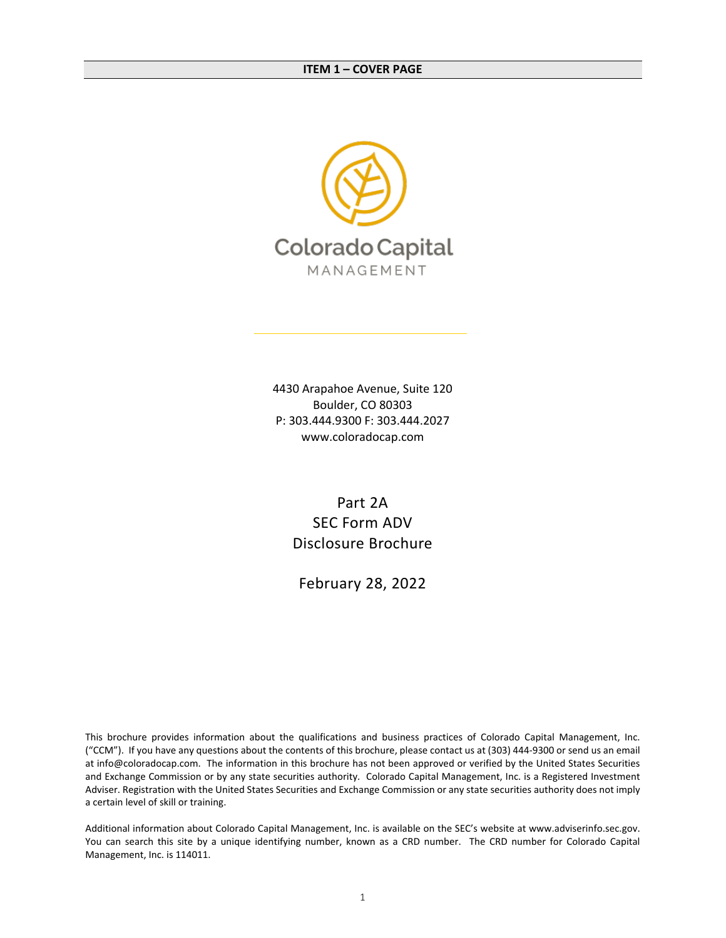<span id="page-0-0"></span>

4430 Arapahoe Avenue, Suite 120 Boulder, CO 80303 P: 303.444.9300 F: 303.444.2027 www.coloradocap.com

> Part 2A SEC Form ADV Disclosure Brochure

February 28, 2022

This brochure provides information about the qualifications and business practices of Colorado Capital Management, Inc. ("CCM"). If you have any questions about the contents of this brochure, please contact us at (303) 444-9300 or send us an email at info@coloradocap.com. The information in this brochure has not been approved or verified by the United States Securities and Exchange Commission or by any state securities authority. Colorado Capital Management, Inc. is a Registered Investment Adviser. Registration with the United States Securities and Exchange Commission or any state securities authority does not imply a certain level of skill or training.

Additional information about Colorado Capital Management, Inc. is available on the SEC's website at www.adviserinfo.sec.gov. You can search this site by a unique identifying number, known as a CRD number. The CRD number for Colorado Capital Management, Inc. is 114011.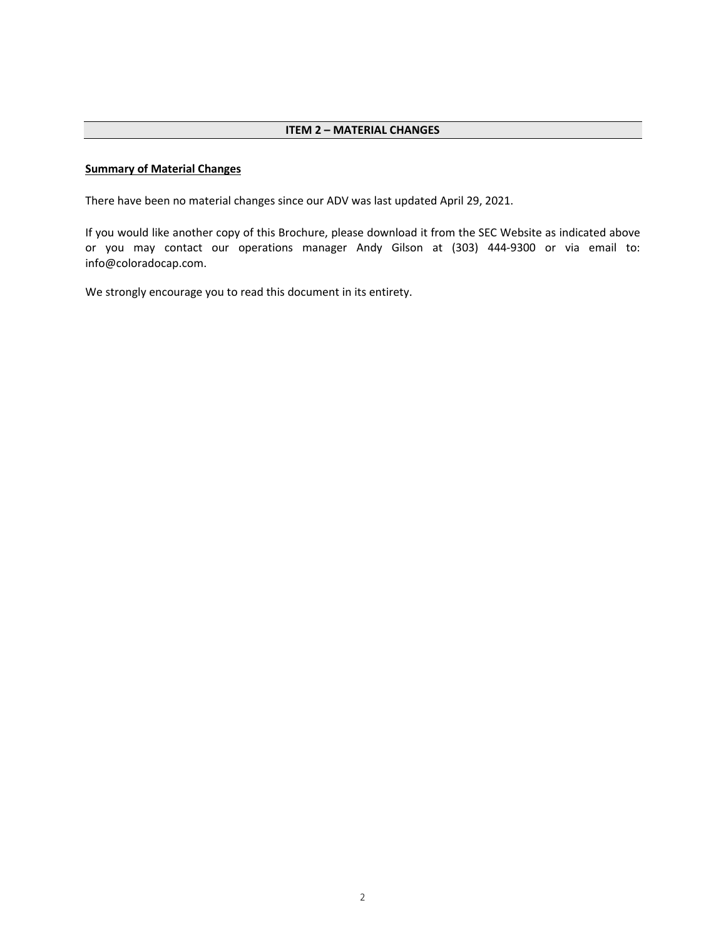## <span id="page-1-0"></span>**Summary of Material Changes**

There have been no material changes since our ADV was last updated April 29, 2021.

If you would like another copy of this Brochure, please download it from the SEC Website as indicated above or you may contact our operations manager Andy Gilson at (303) 444-9300 or via email to: info@coloradocap.com.

We strongly encourage you to read this document in its entirety.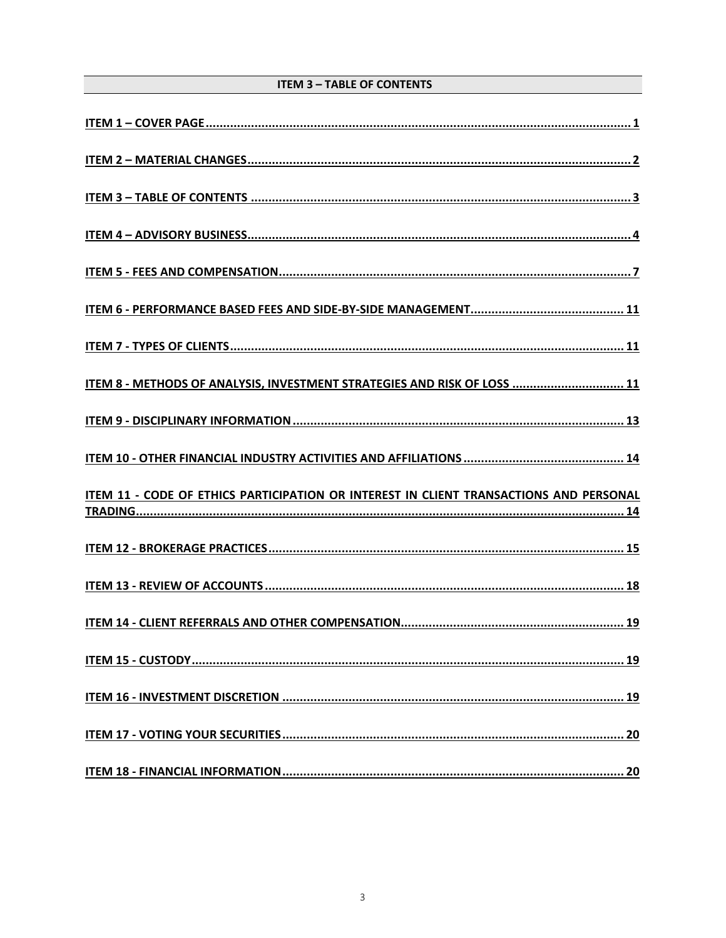# **ITEM 3 - TABLE OF CONTENTS**

<span id="page-2-0"></span>

| ITEM 8 - METHODS OF ANALYSIS, INVESTMENT STRATEGIES AND RISK OF LOSS  11               |
|----------------------------------------------------------------------------------------|
|                                                                                        |
|                                                                                        |
| ITEM 11 - CODE OF ETHICS PARTICIPATION OR INTEREST IN CLIENT TRANSACTIONS AND PERSONAL |
|                                                                                        |
|                                                                                        |
|                                                                                        |
|                                                                                        |
|                                                                                        |
|                                                                                        |
|                                                                                        |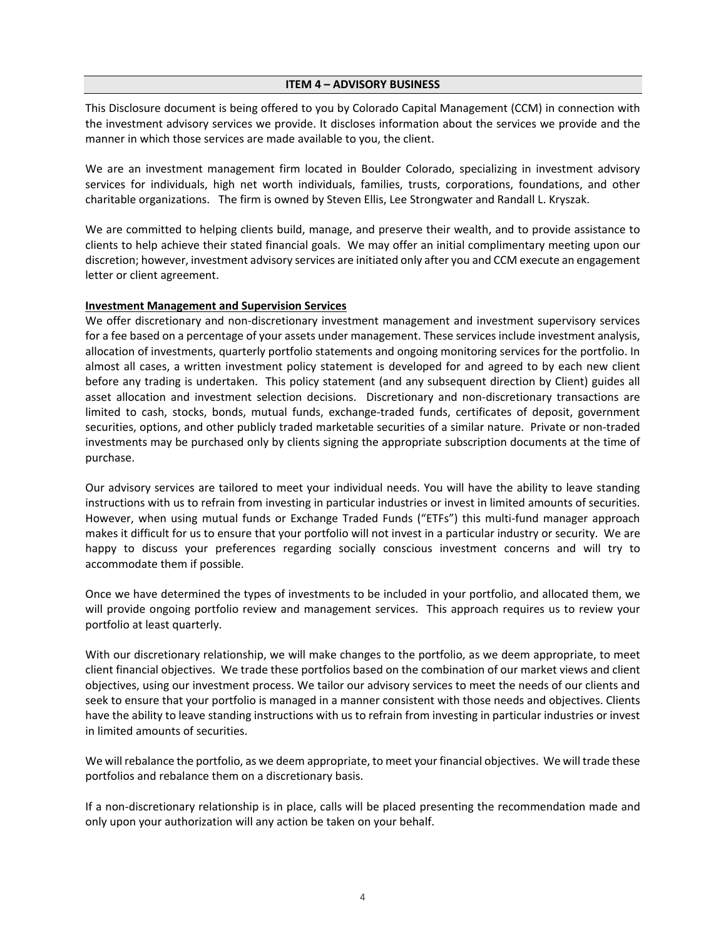#### **ITEM 4 – ADVISORY BUSINESS**

<span id="page-3-0"></span>This Disclosure document is being offered to you by Colorado Capital Management (CCM) in connection with the investment advisory services we provide. It discloses information about the services we provide and the manner in which those services are made available to you, the client.

We are an investment management firm located in Boulder Colorado, specializing in investment advisory services for individuals, high net worth individuals, families, trusts, corporations, foundations, and other charitable organizations. The firm is owned by Steven Ellis, Lee Strongwater and Randall L. Kryszak.

We are committed to helping clients build, manage, and preserve their wealth, and to provide assistance to clients to help achieve their stated financial goals. We may offer an initial complimentary meeting upon our discretion; however, investment advisory services are initiated only after you and CCM execute an engagement letter or client agreement.

### **Investment Management and Supervision Services**

We offer discretionary and non-discretionary investment management and investment supervisory services for a fee based on a percentage of your assets under management. These services include investment analysis, allocation of investments, quarterly portfolio statements and ongoing monitoring services for the portfolio. In almost all cases, a written investment policy statement is developed for and agreed to by each new client before any trading is undertaken. This policy statement (and any subsequent direction by Client) guides all asset allocation and investment selection decisions. Discretionary and non-discretionary transactions are limited to cash, stocks, bonds, mutual funds, exchange-traded funds, certificates of deposit, government securities, options, and other publicly traded marketable securities of a similar nature. Private or non-traded investments may be purchased only by clients signing the appropriate subscription documents at the time of purchase.

Our advisory services are tailored to meet your individual needs. You will have the ability to leave standing instructions with us to refrain from investing in particular industries or invest in limited amounts of securities. However, when using mutual funds or Exchange Traded Funds ("ETFs") this multi-fund manager approach makes it difficult for us to ensure that your portfolio will not invest in a particular industry or security. We are happy to discuss your preferences regarding socially conscious investment concerns and will try to accommodate them if possible.

Once we have determined the types of investments to be included in your portfolio, and allocated them, we will provide ongoing portfolio review and management services. This approach requires us to review your portfolio at least quarterly.

With our discretionary relationship, we will make changes to the portfolio, as we deem appropriate, to meet client financial objectives. We trade these portfolios based on the combination of our market views and client objectives, using our investment process. We tailor our advisory services to meet the needs of our clients and seek to ensure that your portfolio is managed in a manner consistent with those needs and objectives. Clients have the ability to leave standing instructions with us to refrain from investing in particular industries or invest in limited amounts of securities.

We will rebalance the portfolio, as we deem appropriate, to meet your financial objectives. We will trade these portfolios and rebalance them on a discretionary basis.

If a non-discretionary relationship is in place, calls will be placed presenting the recommendation made and only upon your authorization will any action be taken on your behalf.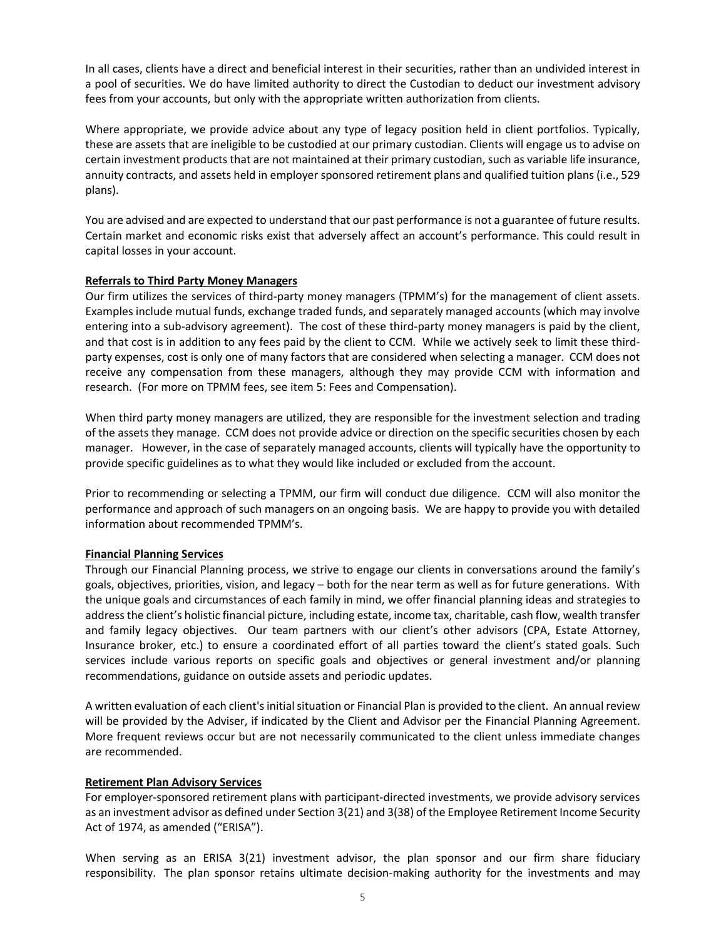In all cases, clients have a direct and beneficial interest in their securities, rather than an undivided interest in a pool of securities. We do have limited authority to direct the Custodian to deduct our investment advisory fees from your accounts, but only with the appropriate written authorization from clients.

Where appropriate, we provide advice about any type of legacy position held in client portfolios. Typically, these are assets that are ineligible to be custodied at our primary custodian. Clients will engage us to advise on certain investment products that are not maintained at their primary custodian, such as variable life insurance, annuity contracts, and assets held in employer sponsored retirement plans and qualified tuition plans (i.e., 529 plans).

You are advised and are expected to understand that our past performance is not a guarantee of future results. Certain market and economic risks exist that adversely affect an account's performance. This could result in capital losses in your account.

# **Referrals to Third Party Money Managers**

Our firm utilizes the services of third-party money managers (TPMM's) for the management of client assets. Examples include mutual funds, exchange traded funds, and separately managed accounts (which may involve entering into a sub-advisory agreement). The cost of these third-party money managers is paid by the client, and that cost is in addition to any fees paid by the client to CCM. While we actively seek to limit these thirdparty expenses, cost is only one of many factors that are considered when selecting a manager. CCM does not receive any compensation from these managers, although they may provide CCM with information and research. (For more on TPMM fees, see item 5: Fees and Compensation).

When third party money managers are utilized, they are responsible for the investment selection and trading of the assets they manage. CCM does not provide advice or direction on the specific securities chosen by each manager. However, in the case of separately managed accounts, clients will typically have the opportunity to provide specific guidelines as to what they would like included or excluded from the account.

Prior to recommending or selecting a TPMM, our firm will conduct due diligence. CCM will also monitor the performance and approach of such managers on an ongoing basis. We are happy to provide you with detailed information about recommended TPMM's.

# **Financial Planning Services**

Through our Financial Planning process, we strive to engage our clients in conversations around the family's goals, objectives, priorities, vision, and legacy – both for the near term as well as for future generations. With the unique goals and circumstances of each family in mind, we offer financial planning ideas and strategies to address the client's holistic financial picture, including estate, income tax, charitable, cash flow, wealth transfer and family legacy objectives. Our team partners with our client's other advisors (CPA, Estate Attorney, Insurance broker, etc.) to ensure a coordinated effort of all parties toward the client's stated goals. Such services include various reports on specific goals and objectives or general investment and/or planning recommendations, guidance on outside assets and periodic updates.

A written evaluation of each client's initial situation or Financial Plan is provided to the client. An annual review will be provided by the Adviser, if indicated by the Client and Advisor per the Financial Planning Agreement. More frequent reviews occur but are not necessarily communicated to the client unless immediate changes are recommended.

### **Retirement Plan Advisory Services**

For employer-sponsored retirement plans with participant-directed investments, we provide advisory services as an investment advisor as defined under Section 3(21) and 3(38) of the Employee Retirement Income Security Act of 1974, as amended ("ERISA").

When serving as an ERISA 3(21) investment advisor, the plan sponsor and our firm share fiduciary responsibility. The plan sponsor retains ultimate decision-making authority for the investments and may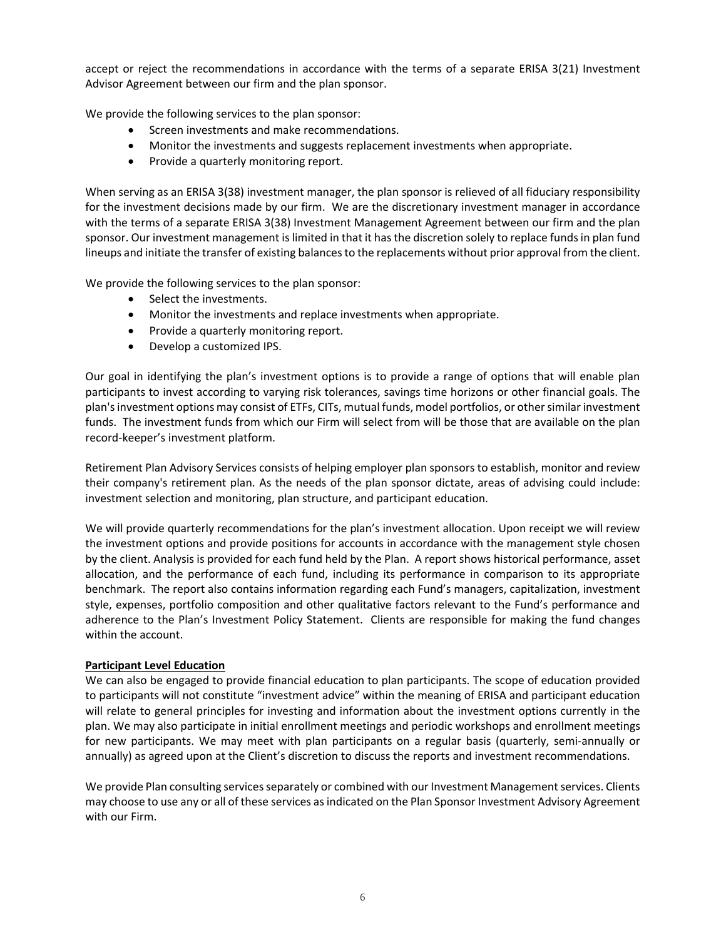accept or reject the recommendations in accordance with the terms of a separate ERISA 3(21) Investment Advisor Agreement between our firm and the plan sponsor.

We provide the following services to the plan sponsor:

- Screen investments and make recommendations.
- Monitor the investments and suggests replacement investments when appropriate.
- Provide a quarterly monitoring report.

When serving as an ERISA 3(38) investment manager, the plan sponsor is relieved of all fiduciary responsibility for the investment decisions made by our firm. We are the discretionary investment manager in accordance with the terms of a separate ERISA 3(38) Investment Management Agreement between our firm and the plan sponsor. Our investment management is limited in that it has the discretion solely to replace funds in plan fund lineups and initiate the transfer of existing balances to the replacements without prior approval from the client.

We provide the following services to the plan sponsor:

- Select the investments.
- Monitor the investments and replace investments when appropriate.
- Provide a quarterly monitoring report.
- Develop a customized IPS.

Our goal in identifying the plan's investment options is to provide a range of options that will enable plan participants to invest according to varying risk tolerances, savings time horizons or other financial goals. The plan's investment options may consist of ETFs, CITs, mutual funds, model portfolios, or other similar investment funds. The investment funds from which our Firm will select from will be those that are available on the plan record-keeper's investment platform.

Retirement Plan Advisory Services consists of helping employer plan sponsors to establish, monitor and review their company's retirement plan. As the needs of the plan sponsor dictate, areas of advising could include: investment selection and monitoring, plan structure, and participant education.

We will provide quarterly recommendations for the plan's investment allocation. Upon receipt we will review the investment options and provide positions for accounts in accordance with the management style chosen by the client. Analysis is provided for each fund held by the Plan. A report shows historical performance, asset allocation, and the performance of each fund, including its performance in comparison to its appropriate benchmark. The report also contains information regarding each Fund's managers, capitalization, investment style, expenses, portfolio composition and other qualitative factors relevant to the Fund's performance and adherence to the Plan's Investment Policy Statement. Clients are responsible for making the fund changes within the account.

### **Participant Level Education**

We can also be engaged to provide financial education to plan participants. The scope of education provided to participants will not constitute "investment advice" within the meaning of ERISA and participant education will relate to general principles for investing and information about the investment options currently in the plan. We may also participate in initial enrollment meetings and periodic workshops and enrollment meetings for new participants. We may meet with plan participants on a regular basis (quarterly, semi-annually or annually) as agreed upon at the Client's discretion to discuss the reports and investment recommendations.

We provide Plan consulting services separately or combined with our Investment Management services. Clients may choose to use any or all of these services as indicated on the Plan Sponsor Investment Advisory Agreement with our Firm.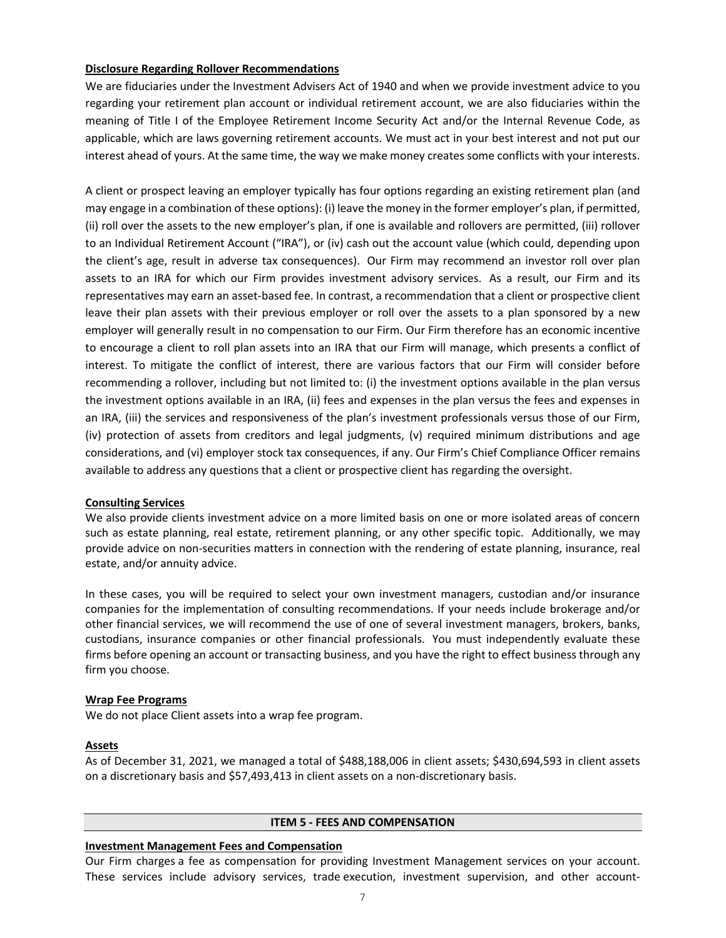### **Disclosure Regarding Rollover Recommendations**

We are fiduciaries under the Investment Advisers Act of 1940 and when we provide investment advice to you regarding your retirement plan account or individual retirement account, we are also fiduciaries within the meaning of Title I of the Employee Retirement Income Security Act and/or the Internal Revenue Code, as applicable, which are laws governing retirement accounts. We must act in your best interest and not put our interest ahead of yours. At the same time, the way we make money creates some conflicts with your interests.

A client or prospect leaving an employer typically has four options regarding an existing retirement plan (and may engage in a combination of these options): (i) leave the money in the former employer's plan, if permitted, (ii) roll over the assets to the new employer's plan, if one is available and rollovers are permitted, (iii) rollover to an Individual Retirement Account ("IRA"), or (iv) cash out the account value (which could, depending upon the client's age, result in adverse tax consequences). Our Firm may recommend an investor roll over plan assets to an IRA for which our Firm provides investment advisory services. As a result, our Firm and its representatives may earn an asset-based fee. In contrast, a recommendation that a client or prospective client leave their plan assets with their previous employer or roll over the assets to a plan sponsored by a new employer will generally result in no compensation to our Firm. Our Firm therefore has an economic incentive to encourage a client to roll plan assets into an IRA that our Firm will manage, which presents a conflict of interest. To mitigate the conflict of interest, there are various factors that our Firm will consider before recommending a rollover, including but not limited to: (i) the investment options available in the plan versus the investment options available in an IRA, (ii) fees and expenses in the plan versus the fees and expenses in an IRA, (iii) the services and responsiveness of the plan's investment professionals versus those of our Firm, (iv) protection of assets from creditors and legal judgments, (v) required minimum distributions and age considerations, and (vi) employer stock tax consequences, if any. Our Firm's Chief Compliance Officer remains available to address any questions that a client or prospective client has regarding the oversight.

#### **Consulting Services**

We also provide clients investment advice on a more limited basis on one or more isolated areas of concern such as estate planning, real estate, retirement planning, or any other specific topic. Additionally, we may provide advice on non-securities matters in connection with the rendering of estate planning, insurance, real estate, and/or annuity advice.

In these cases, you will be required to select your own investment managers, custodian and/or insurance companies for the implementation of consulting recommendations. If your needs include brokerage and/or other financial services, we will recommend the use of one of several investment managers, brokers, banks, custodians, insurance companies or other financial professionals. You must independently evaluate these firms before opening an account or transacting business, and you have the right to effect business through any firm you choose.

#### **Wrap Fee Programs**

We do not place Client assets into a wrap fee program.

#### **Assets**

As of December 31, 2021, we managed a total of \$488,188,006 in client assets; \$430,694,593 in client assets on a discretionary basis and \$57,493,413 in client assets on a non-discretionary basis.

#### **ITEM 5 - FEES AND COMPENSATION**

#### <span id="page-6-0"></span>**Investment Management Fees and Compensation**

Our Firm charges a fee as compensation for providing Investment Management services on your account. These services include advisory services, trade execution, investment supervision, and other account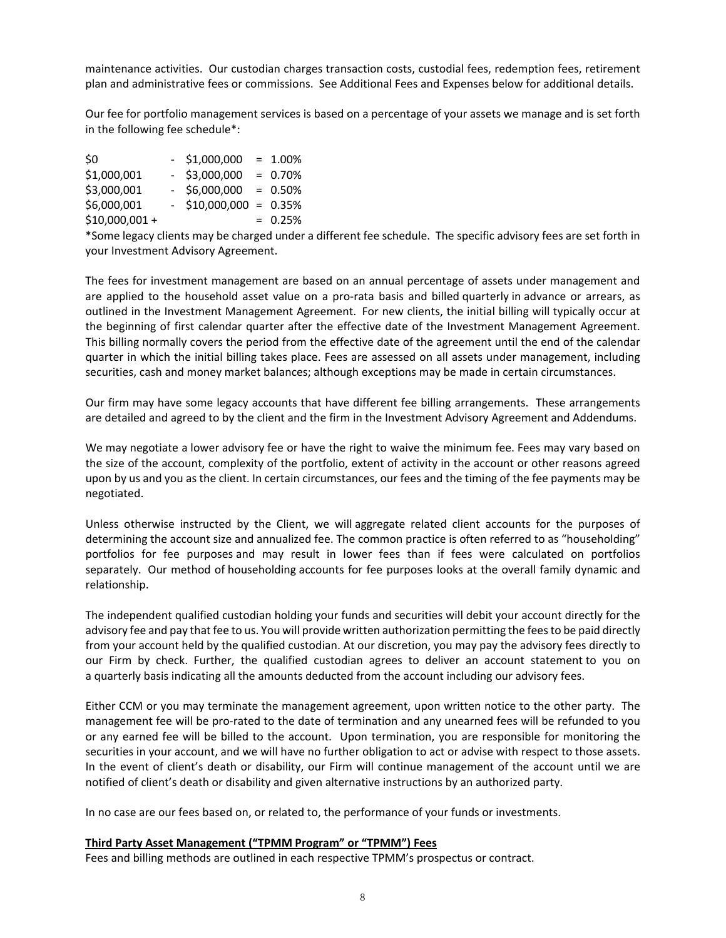maintenance activities. Our custodian charges transaction costs, custodial fees, redemption fees, retirement plan and administrative fees or commissions. See Additional Fees and Expenses below for additional details.

Our fee for portfolio management services is based on a percentage of your assets we manage and is set forth in the following fee schedule\*:

| \$0             | $-$ \$1,000,000          | $= 1.00\%$ |
|-----------------|--------------------------|------------|
| \$1,000,001     | $-$ \$3,000,000          | $= 0.70%$  |
| \$3,000,001     | $-$ \$6,000,000          | $= 0.50\%$ |
| \$6,000,001     | $-$ \$10,000,000 = 0.35% |            |
| $$10,000,001 +$ |                          | $= 0.25%$  |

\*Some legacy clients may be charged under a different fee schedule. The specific advisory fees are set forth in your Investment Advisory Agreement.

The fees for investment management are based on an annual percentage of assets under management and are applied to the household asset value on a pro-rata basis and billed quarterly in advance or arrears, as outlined in the Investment Management Agreement. For new clients, the initial billing will typically occur at the beginning of first calendar quarter after the effective date of the Investment Management Agreement. This billing normally covers the period from the effective date of the agreement until the end of the calendar quarter in which the initial billing takes place. Fees are assessed on all assets under management, including securities, cash and money market balances; although exceptions may be made in certain circumstances.

Our firm may have some legacy accounts that have different fee billing arrangements. These arrangements are detailed and agreed to by the client and the firm in the Investment Advisory Agreement and Addendums.

We may negotiate a lower advisory fee or have the right to waive the minimum fee. Fees may vary based on the size of the account, complexity of the portfolio, extent of activity in the account or other reasons agreed upon by us and you as the client. In certain circumstances, our fees and the timing of the fee payments may be negotiated.

Unless otherwise instructed by the Client, we will aggregate related client accounts for the purposes of determining the account size and annualized fee. The common practice is often referred to as "householding" portfolios for fee purposes and may result in lower fees than if fees were calculated on portfolios separately. Our method of householding accounts for fee purposes looks at the overall family dynamic and relationship.

The independent qualified custodian holding your funds and securities will debit your account directly for the advisory fee and pay that fee to us. You will provide written authorization permitting the fees to be paid directly from your account held by the qualified custodian. At our discretion, you may pay the advisory fees directly to our Firm by check. Further, the qualified custodian agrees to deliver an account statement to you on a quarterly basis indicating all the amounts deducted from the account including our advisory fees.

Either CCM or you may terminate the management agreement, upon written notice to the other party. The management fee will be pro-rated to the date of termination and any unearned fees will be refunded to you or any earned fee will be billed to the account. Upon termination, you are responsible for monitoring the securities in your account, and we will have no further obligation to act or advise with respect to those assets. In the event of client's death or disability, our Firm will continue management of the account until we are notified of client's death or disability and given alternative instructions by an authorized party.

In no case are our fees based on, or related to, the performance of your funds or investments.

### **Third Party Asset Management ("TPMM Program" or "TPMM") Fees**

Fees and billing methods are outlined in each respective TPMM's prospectus or contract.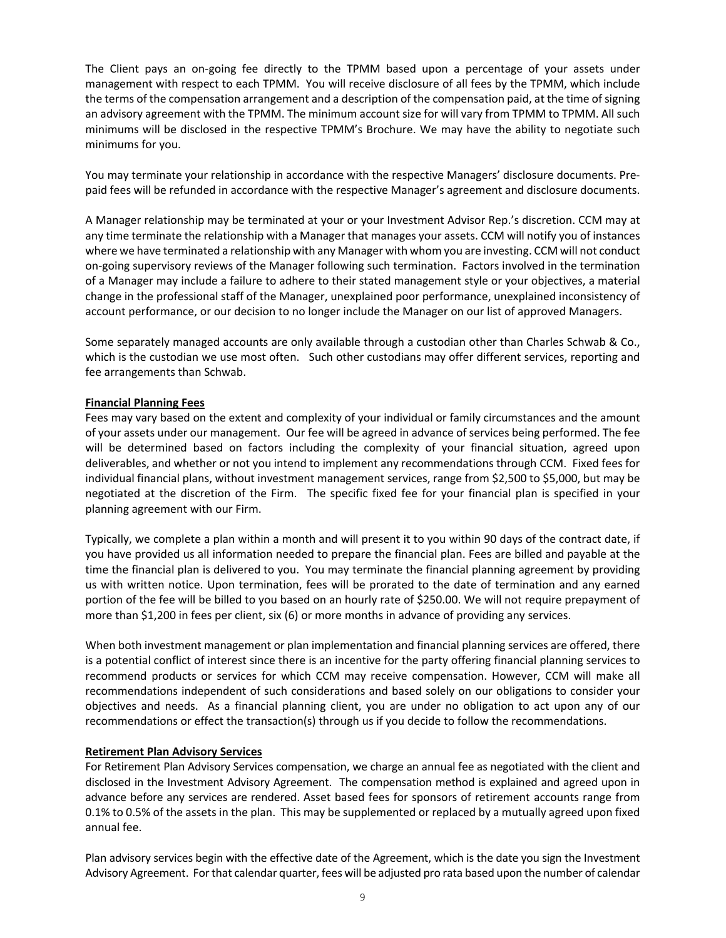The Client pays an on-going fee directly to the TPMM based upon a percentage of your assets under management with respect to each TPMM. You will receive disclosure of all fees by the TPMM, which include the terms of the compensation arrangement and a description of the compensation paid, at the time of signing an advisory agreement with the TPMM. The minimum account size for will vary from TPMM to TPMM. All such minimums will be disclosed in the respective TPMM's Brochure. We may have the ability to negotiate such minimums for you.

You may terminate your relationship in accordance with the respective Managers' disclosure documents. Prepaid fees will be refunded in accordance with the respective Manager's agreement and disclosure documents.

A Manager relationship may be terminated at your or your Investment Advisor Rep.'s discretion. CCM may at any time terminate the relationship with a Manager that manages your assets. CCM will notify you of instances where we have terminated a relationship with any Manager with whom you are investing. CCM will not conduct on-going supervisory reviews of the Manager following such termination. Factors involved in the termination of a Manager may include a failure to adhere to their stated management style or your objectives, a material change in the professional staff of the Manager, unexplained poor performance, unexplained inconsistency of account performance, or our decision to no longer include the Manager on our list of approved Managers.

Some separately managed accounts are only available through a custodian other than Charles Schwab & Co., which is the custodian we use most often. Such other custodians may offer different services, reporting and fee arrangements than Schwab.

# **Financial Planning Fees**

Fees may vary based on the extent and complexity of your individual or family circumstances and the amount of your assets under our management. Our fee will be agreed in advance of services being performed. The fee will be determined based on factors including the complexity of your financial situation, agreed upon deliverables, and whether or not you intend to implement any recommendations through CCM. Fixed fees for individual financial plans, without investment management services, range from \$2,500 to \$5,000, but may be negotiated at the discretion of the Firm. The specific fixed fee for your financial plan is specified in your planning agreement with our Firm.

Typically, we complete a plan within a month and will present it to you within 90 days of the contract date, if you have provided us all information needed to prepare the financial plan. Fees are billed and payable at the time the financial plan is delivered to you. You may terminate the financial planning agreement by providing us with written notice. Upon termination, fees will be prorated to the date of termination and any earned portion of the fee will be billed to you based on an hourly rate of \$250.00. We will not require prepayment of more than \$1,200 in fees per client, six (6) or more months in advance of providing any services.

When both investment management or plan implementation and financial planning services are offered, there is a potential conflict of interest since there is an incentive for the party offering financial planning services to recommend products or services for which CCM may receive compensation. However, CCM will make all recommendations independent of such considerations and based solely on our obligations to consider your objectives and needs. As a financial planning client, you are under no obligation to act upon any of our recommendations or effect the transaction(s) through us if you decide to follow the recommendations.

### **Retirement Plan Advisory Services**

For Retirement Plan Advisory Services compensation, we charge an annual fee as negotiated with the client and disclosed in the Investment Advisory Agreement. The compensation method is explained and agreed upon in advance before any services are rendered. Asset based fees for sponsors of retirement accounts range from 0.1% to 0.5% of the assets in the plan. This may be supplemented or replaced by a mutually agreed upon fixed annual fee.

Plan advisory services begin with the effective date of the Agreement, which is the date you sign the Investment Advisory Agreement. For that calendar quarter, fees will be adjusted pro rata based upon the number of calendar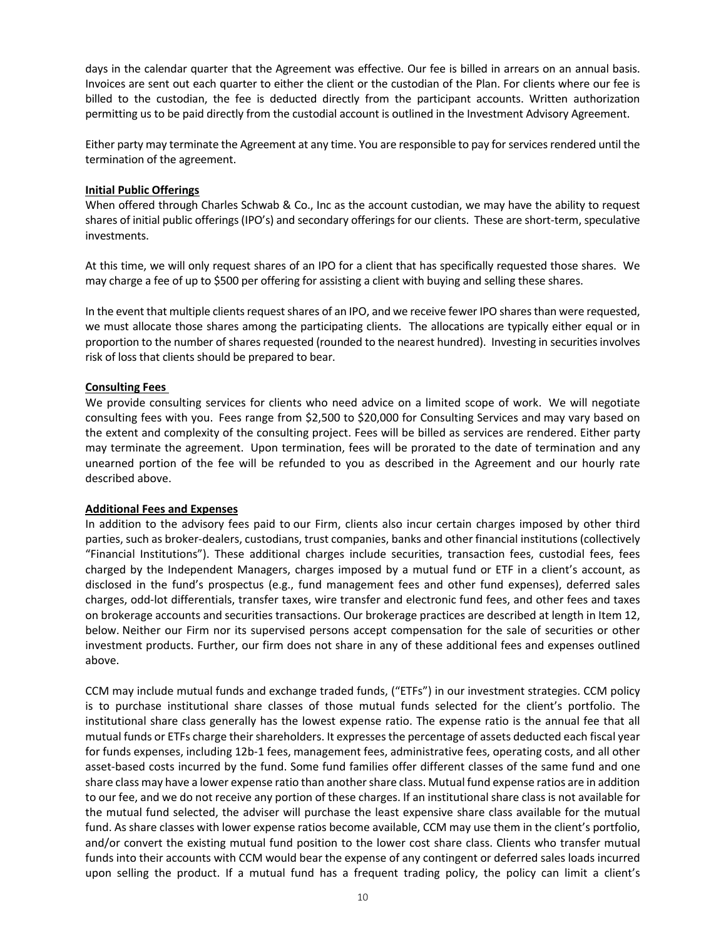days in the calendar quarter that the Agreement was effective. Our fee is billed in arrears on an annual basis. Invoices are sent out each quarter to either the client or the custodian of the Plan. For clients where our fee is billed to the custodian, the fee is deducted directly from the participant accounts. Written authorization permitting us to be paid directly from the custodial account is outlined in the Investment Advisory Agreement.

Either party may terminate the Agreement at any time. You are responsible to pay for services rendered until the termination of the agreement.

### **Initial Public Offerings**

When offered through Charles Schwab & Co., Inc as the account custodian, we may have the ability to request shares of initial public offerings (IPO's) and secondary offerings for our clients. These are short-term, speculative investments.

At this time, we will only request shares of an IPO for a client that has specifically requested those shares. We may charge a fee of up to \$500 per offering for assisting a client with buying and selling these shares.

In the event that multiple clients request shares of an IPO, and we receive fewer IPO shares than were requested, we must allocate those shares among the participating clients. The allocations are typically either equal or in proportion to the number of shares requested (rounded to the nearest hundred). Investing in securities involves risk of loss that clients should be prepared to bear.

# **Consulting Fees**

We provide consulting services for clients who need advice on a limited scope of work. We will negotiate consulting fees with you. Fees range from \$2,500 to \$20,000 for Consulting Services and may vary based on the extent and complexity of the consulting project. Fees will be billed as services are rendered. Either party may terminate the agreement. Upon termination, fees will be prorated to the date of termination and any unearned portion of the fee will be refunded to you as described in the Agreement and our hourly rate described above.

### **Additional Fees and Expenses**

In addition to the advisory fees paid to our Firm, clients also incur certain charges imposed by other third parties, such as broker-dealers, custodians, trust companies, banks and other financial institutions (collectively "Financial Institutions"). These additional charges include securities, transaction fees, custodial fees, fees charged by the Independent Managers, charges imposed by a mutual fund or ETF in a client's account, as disclosed in the fund's prospectus (e.g., fund management fees and other fund expenses), deferred sales charges, odd-lot differentials, transfer taxes, wire transfer and electronic fund fees, and other fees and taxes on brokerage accounts and securities transactions. Our brokerage practices are described at length in Item 12, below. Neither our Firm nor its supervised persons accept compensation for the sale of securities or other investment products. Further, our firm does not share in any of these additional fees and expenses outlined above.

CCM may include mutual funds and exchange traded funds, ("ETFs") in our investment strategies. CCM policy is to purchase institutional share classes of those mutual funds selected for the client's portfolio. The institutional share class generally has the lowest expense ratio. The expense ratio is the annual fee that all mutual funds or ETFs charge their shareholders. It expresses the percentage of assets deducted each fiscal year for funds expenses, including 12b-1 fees, management fees, administrative fees, operating costs, and all other asset-based costs incurred by the fund. Some fund families offer different classes of the same fund and one share class may have a lower expense ratio than another share class. Mutual fund expense ratios are in addition to our fee, and we do not receive any portion of these charges. If an institutional share class is not available for the mutual fund selected, the adviser will purchase the least expensive share class available for the mutual fund. As share classes with lower expense ratios become available, CCM may use them in the client's portfolio, and/or convert the existing mutual fund position to the lower cost share class. Clients who transfer mutual funds into their accounts with CCM would bear the expense of any contingent or deferred sales loads incurred upon selling the product. If a mutual fund has a frequent trading policy, the policy can limit a client's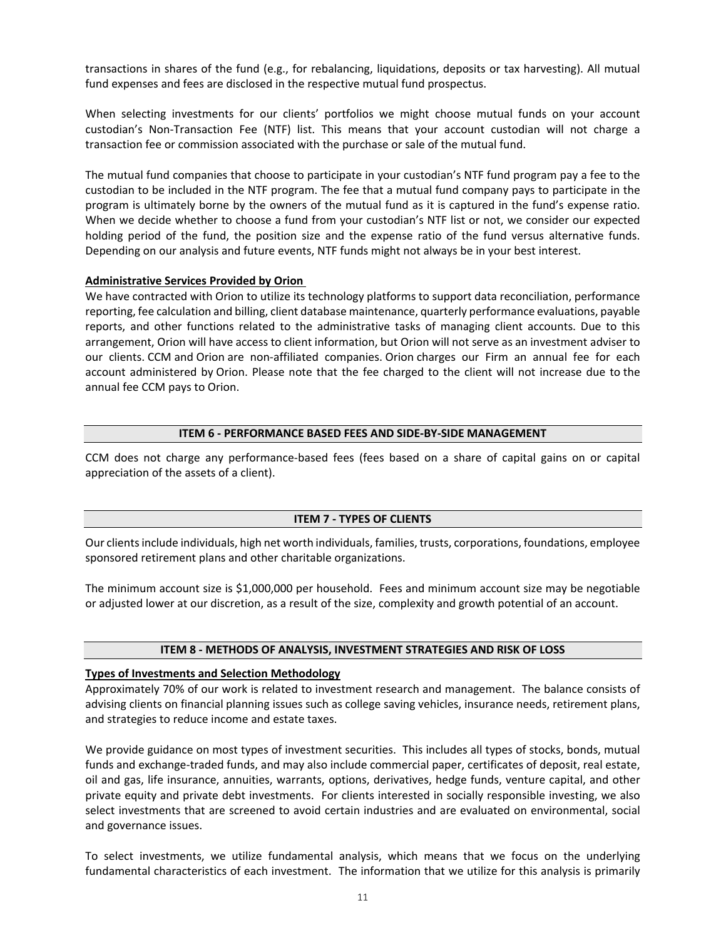transactions in shares of the fund (e.g., for rebalancing, liquidations, deposits or tax harvesting). All mutual fund expenses and fees are disclosed in the respective mutual fund prospectus.

When selecting investments for our clients' portfolios we might choose mutual funds on your account custodian's Non-Transaction Fee (NTF) list. This means that your account custodian will not charge a transaction fee or commission associated with the purchase or sale of the mutual fund.

The mutual fund companies that choose to participate in your custodian's NTF fund program pay a fee to the custodian to be included in the NTF program. The fee that a mutual fund company pays to participate in the program is ultimately borne by the owners of the mutual fund as it is captured in the fund's expense ratio. When we decide whether to choose a fund from your custodian's NTF list or not, we consider our expected holding period of the fund, the position size and the expense ratio of the fund versus alternative funds. Depending on our analysis and future events, NTF funds might not always be in your best interest.

### **Administrative Services Provided by Orion**

We have contracted with Orion to utilize its technology platforms to support data reconciliation, performance reporting, fee calculation and billing, client database maintenance, quarterly performance evaluations, payable reports, and other functions related to the administrative tasks of managing client accounts. Due to this arrangement, Orion will have access to client information, but Orion will not serve as an investment adviser to our clients. CCM and Orion are non-affiliated companies. Orion charges our Firm an annual fee for each account administered by Orion. Please note that the fee charged to the client will not increase due to the annual fee CCM pays to Orion.

#### **ITEM 6 - PERFORMANCE BASED FEES AND SIDE-BY-SIDE MANAGEMENT**

<span id="page-10-0"></span>CCM does not charge any performance-based fees (fees based on a share of capital gains on or capital appreciation of the assets of a client).

### **ITEM 7 - TYPES OF CLIENTS**

<span id="page-10-1"></span>Our clients include individuals, high net worth individuals, families, trusts, corporations, foundations, employee sponsored retirement plans and other charitable organizations.

The minimum account size is \$1,000,000 per household. Fees and minimum account size may be negotiable or adjusted lower at our discretion, as a result of the size, complexity and growth potential of an account.

### **ITEM 8 - METHODS OF ANALYSIS, INVESTMENT STRATEGIES AND RISK OF LOSS**

#### <span id="page-10-2"></span>**Types of Investments and Selection Methodology**

Approximately 70% of our work is related to investment research and management. The balance consists of advising clients on financial planning issues such as college saving vehicles, insurance needs, retirement plans, and strategies to reduce income and estate taxes.

We provide guidance on most types of investment securities. This includes all types of stocks, bonds, mutual funds and exchange-traded funds, and may also include commercial paper, certificates of deposit, real estate, oil and gas, life insurance, annuities, warrants, options, derivatives, hedge funds, venture capital, and other private equity and private debt investments. For clients interested in socially responsible investing, we also select investments that are screened to avoid certain industries and are evaluated on environmental, social and governance issues.

To select investments, we utilize fundamental analysis, which means that we focus on the underlying fundamental characteristics of each investment. The information that we utilize for this analysis is primarily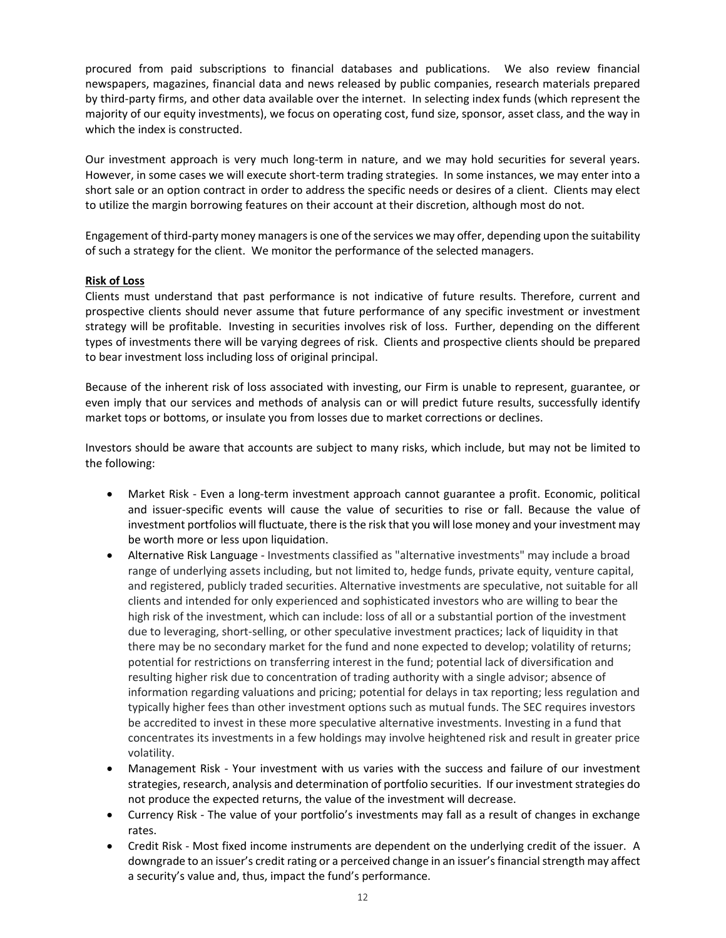procured from paid subscriptions to financial databases and publications. We also review financial newspapers, magazines, financial data and news released by public companies, research materials prepared by third-party firms, and other data available over the internet. In selecting index funds (which represent the majority of our equity investments), we focus on operating cost, fund size, sponsor, asset class, and the way in which the index is constructed.

Our investment approach is very much long-term in nature, and we may hold securities for several years. However, in some cases we will execute short-term trading strategies. In some instances, we may enter into a short sale or an option contract in order to address the specific needs or desires of a client. Clients may elect to utilize the margin borrowing features on their account at their discretion, although most do not.

Engagement of third-party money managers is one of the services we may offer, depending upon the suitability of such a strategy for the client. We monitor the performance of the selected managers.

### **Risk of Loss**

Clients must understand that past performance is not indicative of future results. Therefore, current and prospective clients should never assume that future performance of any specific investment or investment strategy will be profitable. Investing in securities involves risk of loss. Further, depending on the different types of investments there will be varying degrees of risk. Clients and prospective clients should be prepared to bear investment loss including loss of original principal.

Because of the inherent risk of loss associated with investing, our Firm is unable to represent, guarantee, or even imply that our services and methods of analysis can or will predict future results, successfully identify market tops or bottoms, or insulate you from losses due to market corrections or declines.

Investors should be aware that accounts are subject to many risks, which include, but may not be limited to the following:

- Market Risk Even a long-term investment approach cannot guarantee a profit. Economic, political and issuer-specific events will cause the value of securities to rise or fall. Because the value of investment portfolios will fluctuate, there is the risk that you will lose money and your investment may be worth more or less upon liquidation.
- Alternative Risk Language Investments classified as "alternative investments" may include a broad range of underlying assets including, but not limited to, hedge funds, private equity, venture capital, and registered, publicly traded securities. Alternative investments are speculative, not suitable for all clients and intended for only experienced and sophisticated investors who are willing to bear the high risk of the investment, which can include: loss of all or a substantial portion of the investment due to leveraging, short-selling, or other speculative investment practices; lack of liquidity in that there may be no secondary market for the fund and none expected to develop; volatility of returns; potential for restrictions on transferring interest in the fund; potential lack of diversification and resulting higher risk due to concentration of trading authority with a single advisor; absence of information regarding valuations and pricing; potential for delays in tax reporting; less regulation and typically higher fees than other investment options such as mutual funds. The SEC requires investors be accredited to invest in these more speculative alternative investments. Investing in a fund that concentrates its investments in a few holdings may involve heightened risk and result in greater price volatility.
- Management Risk Your investment with us varies with the success and failure of our investment strategies, research, analysis and determination of portfolio securities. If our investment strategies do not produce the expected returns, the value of the investment will decrease.
- Currency Risk The value of your portfolio's investments may fall as a result of changes in exchange rates.
- Credit Risk Most fixed income instruments are dependent on the underlying credit of the issuer. A downgrade to an issuer's credit rating or a perceived change in an issuer's financial strength may affect a security's value and, thus, impact the fund's performance.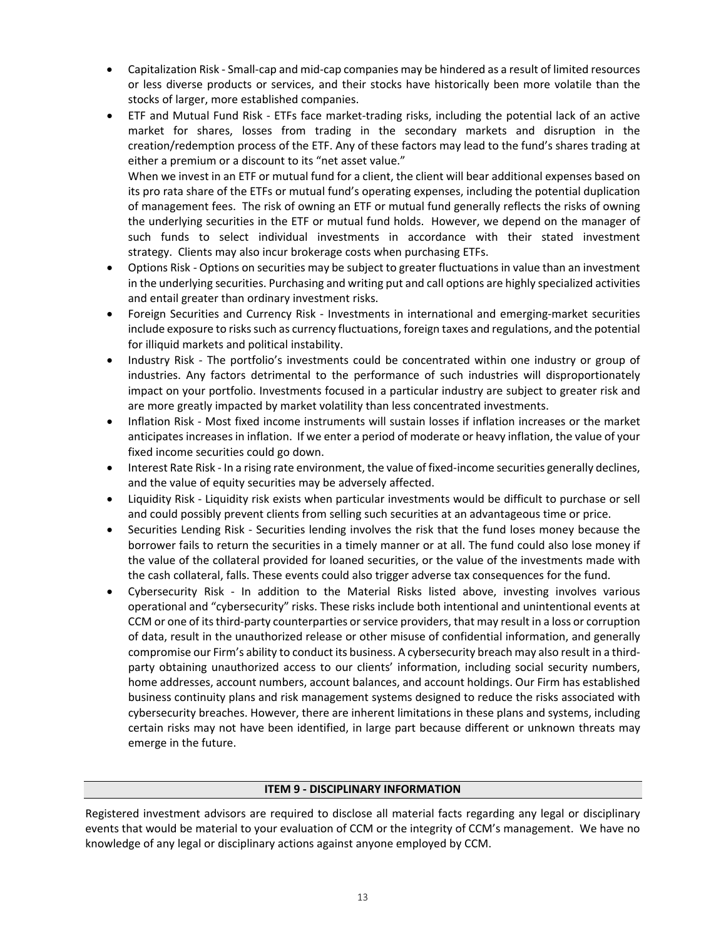- Capitalization Risk Small-cap and mid-cap companies may be hindered as a result of limited resources or less diverse products or services, and their stocks have historically been more volatile than the stocks of larger, more established companies.
- ETF and Mutual Fund Risk ETFs face market-trading risks, including the potential lack of an active market for shares, losses from trading in the secondary markets and disruption in the creation/redemption process of the ETF. Any of these factors may lead to the fund's shares trading at either a premium or a discount to its "net asset value."

When we invest in an ETF or mutual fund for a client, the client will bear additional expenses based on its pro rata share of the ETFs or mutual fund's operating expenses, including the potential duplication of management fees. The risk of owning an ETF or mutual fund generally reflects the risks of owning the underlying securities in the ETF or mutual fund holds. However, we depend on the manager of such funds to select individual investments in accordance with their stated investment strategy. Clients may also incur brokerage costs when purchasing ETFs.

- Options Risk Options on securities may be subject to greater fluctuations in value than an investment in the underlying securities. Purchasing and writing put and call options are highly specialized activities and entail greater than ordinary investment risks.
- Foreign Securities and Currency Risk Investments in international and emerging-market securities include exposure to risks such as currency fluctuations, foreign taxes and regulations, and the potential for illiquid markets and political instability.
- Industry Risk The portfolio's investments could be concentrated within one industry or group of industries. Any factors detrimental to the performance of such industries will disproportionately impact on your portfolio. Investments focused in a particular industry are subject to greater risk and are more greatly impacted by market volatility than less concentrated investments.
- Inflation Risk Most fixed income instruments will sustain losses if inflation increases or the market anticipates increases in inflation. If we enter a period of moderate or heavy inflation, the value of your fixed income securities could go down.
- Interest Rate Risk In a rising rate environment, the value of fixed-income securities generally declines, and the value of equity securities may be adversely affected.
- Liquidity Risk Liquidity risk exists when particular investments would be difficult to purchase or sell and could possibly prevent clients from selling such securities at an advantageous time or price.
- Securities Lending Risk Securities lending involves the risk that the fund loses money because the borrower fails to return the securities in a timely manner or at all. The fund could also lose money if the value of the collateral provided for loaned securities, or the value of the investments made with the cash collateral, falls. These events could also trigger adverse tax consequences for the fund.
- Cybersecurity Risk In addition to the Material Risks listed above, investing involves various operational and "cybersecurity" risks. These risks include both intentional and unintentional events at CCM or one of its third-party counterparties or service providers, that may result in a loss or corruption of data, result in the unauthorized release or other misuse of confidential information, and generally compromise our Firm's ability to conduct its business. A cybersecurity breach may also result in a thirdparty obtaining unauthorized access to our clients' information, including social security numbers, home addresses, account numbers, account balances, and account holdings. Our Firm has established business continuity plans and risk management systems designed to reduce the risks associated with cybersecurity breaches. However, there are inherent limitations in these plans and systems, including certain risks may not have been identified, in large part because different or unknown threats may emerge in the future.

### **ITEM 9 - DISCIPLINARY INFORMATION**

<span id="page-12-0"></span>Registered investment advisors are required to disclose all material facts regarding any legal or disciplinary events that would be material to your evaluation of CCM or the integrity of CCM's management. We have no knowledge of any legal or disciplinary actions against anyone employed by CCM.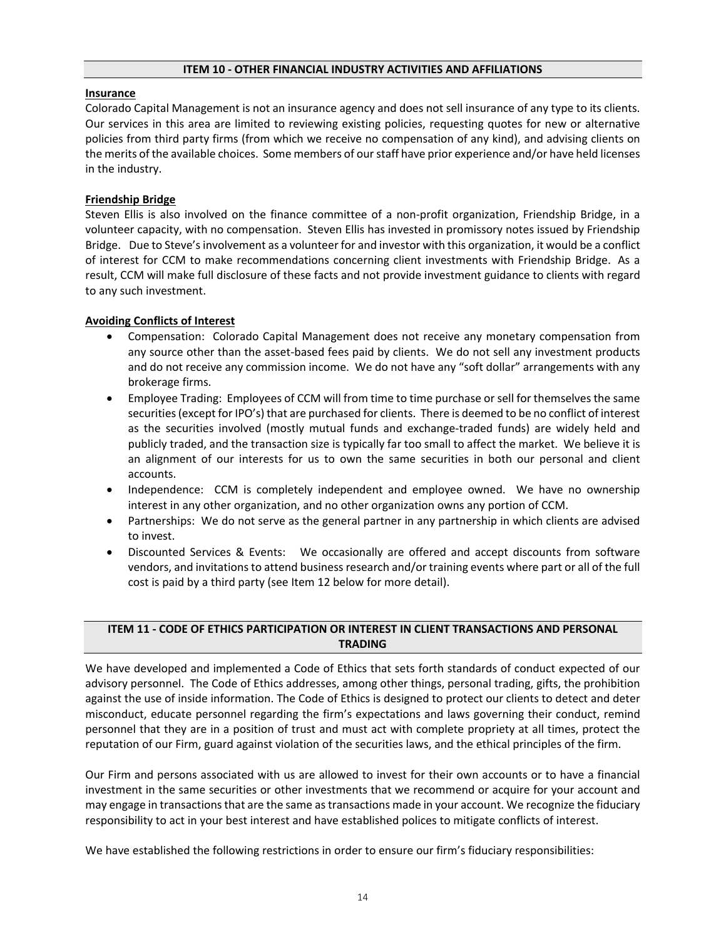### **ITEM 10 - OTHER FINANCIAL INDUSTRY ACTIVITIES AND AFFILIATIONS**

#### <span id="page-13-0"></span>**Insurance**

Colorado Capital Management is not an insurance agency and does not sell insurance of any type to its clients. Our services in this area are limited to reviewing existing policies, requesting quotes for new or alternative policies from third party firms (from which we receive no compensation of any kind), and advising clients on the merits of the available choices. Some members of our staff have prior experience and/or have held licenses in the industry.

### **Friendship Bridge**

Steven Ellis is also involved on the finance committee of a non-profit organization, Friendship Bridge, in a volunteer capacity, with no compensation. Steven Ellis has invested in promissory notes issued by Friendship Bridge. Due to Steve's involvement as a volunteer for and investor with this organization, it would be a conflict of interest for CCM to make recommendations concerning client investments with Friendship Bridge. As a result, CCM will make full disclosure of these facts and not provide investment guidance to clients with regard to any such investment.

#### **Avoiding Conflicts of Interest**

- Compensation: Colorado Capital Management does not receive any monetary compensation from any source other than the asset-based fees paid by clients. We do not sell any investment products and do not receive any commission income. We do not have any "soft dollar" arrangements with any brokerage firms.
- Employee Trading: Employees of CCM will from time to time purchase or sell for themselves the same securities (except for IPO's) that are purchased for clients. There is deemed to be no conflict of interest as the securities involved (mostly mutual funds and exchange-traded funds) are widely held and publicly traded, and the transaction size is typically far too small to affect the market. We believe it is an alignment of our interests for us to own the same securities in both our personal and client accounts.
- Independence: CCM is completely independent and employee owned. We have no ownership interest in any other organization, and no other organization owns any portion of CCM.
- Partnerships: We do not serve as the general partner in any partnership in which clients are advised to invest.
- Discounted Services & Events: We occasionally are offered and accept discounts from software vendors, and invitations to attend business research and/or training events where part or all of the full cost is paid by a third party (see Item 12 below for more detail).

# <span id="page-13-1"></span>**ITEM 11 - CODE OF ETHICS PARTICIPATION OR INTEREST IN CLIENT TRANSACTIONS AND PERSONAL TRADING**

We have developed and implemented a Code of Ethics that sets forth standards of conduct expected of our advisory personnel. The Code of Ethics addresses, among other things, personal trading, gifts, the prohibition against the use of inside information. The Code of Ethics is designed to protect our clients to detect and deter misconduct, educate personnel regarding the firm's expectations and laws governing their conduct, remind personnel that they are in a position of trust and must act with complete propriety at all times, protect the reputation of our Firm, guard against violation of the securities laws, and the ethical principles of the firm.

Our Firm and persons associated with us are allowed to invest for their own accounts or to have a financial investment in the same securities or other investments that we recommend or acquire for your account and may engage in transactions that are the same as transactions made in your account. We recognize the fiduciary responsibility to act in your best interest and have established polices to mitigate conflicts of interest.

We have established the following restrictions in order to ensure our firm's fiduciary responsibilities: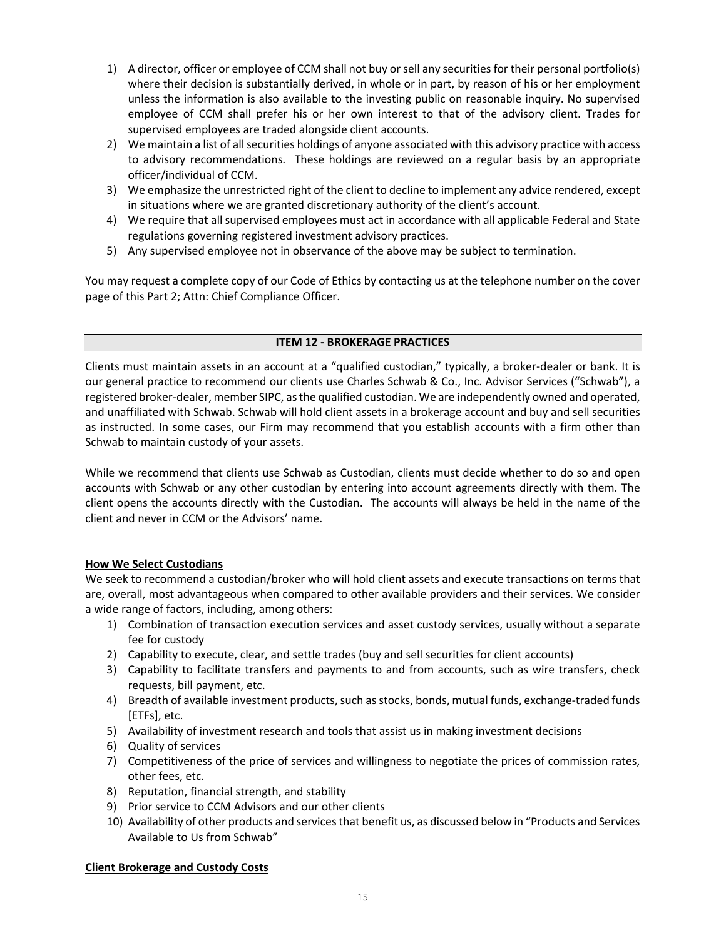- 1) A director, officer or employee of CCM shall not buy or sell any securities for their personal portfolio(s) where their decision is substantially derived, in whole or in part, by reason of his or her employment unless the information is also available to the investing public on reasonable inquiry. No supervised employee of CCM shall prefer his or her own interest to that of the advisory client. Trades for supervised employees are traded alongside client accounts.
- 2) We maintain a list of all securities holdings of anyone associated with this advisory practice with access to advisory recommendations. These holdings are reviewed on a regular basis by an appropriate officer/individual of CCM.
- 3) We emphasize the unrestricted right of the client to decline to implement any advice rendered, except in situations where we are granted discretionary authority of the client's account.
- 4) We require that all supervised employees must act in accordance with all applicable Federal and State regulations governing registered investment advisory practices.
- 5) Any supervised employee not in observance of the above may be subject to termination.

You may request a complete copy of our Code of Ethics by contacting us at the telephone number on the cover page of this Part 2; Attn: Chief Compliance Officer.

# **ITEM 12 - BROKERAGE PRACTICES**

<span id="page-14-0"></span>Clients must maintain assets in an account at a "qualified custodian," typically, a broker-dealer or bank. It is our general practice to recommend our clients use Charles Schwab & Co., Inc. Advisor Services ("Schwab"), a registered broker-dealer, member SIPC, as the qualified custodian. We are independently owned and operated, and unaffiliated with Schwab. Schwab will hold client assets in a brokerage account and buy and sell securities as instructed. In some cases, our Firm may recommend that you establish accounts with a firm other than Schwab to maintain custody of your assets.

While we recommend that clients use Schwab as Custodian, clients must decide whether to do so and open accounts with Schwab or any other custodian by entering into account agreements directly with them. The client opens the accounts directly with the Custodian. The accounts will always be held in the name of the client and never in CCM or the Advisors' name.

# **How We Select Custodians**

We seek to recommend a custodian/broker who will hold client assets and execute transactions on terms that are, overall, most advantageous when compared to other available providers and their services. We consider a wide range of factors, including, among others:

- 1) Combination of transaction execution services and asset custody services, usually without a separate fee for custody
- 2) Capability to execute, clear, and settle trades (buy and sell securities for client accounts)
- 3) Capability to facilitate transfers and payments to and from accounts, such as wire transfers, check requests, bill payment, etc.
- 4) Breadth of available investment products, such as stocks, bonds, mutual funds, exchange-traded funds [ETFs], etc.
- 5) Availability of investment research and tools that assist us in making investment decisions
- 6) Quality of services
- 7) Competitiveness of the price of services and willingness to negotiate the prices of commission rates, other fees, etc.
- 8) Reputation, financial strength, and stability
- 9) Prior service to CCM Advisors and our other clients
- 10) Availability of other products and services that benefit us, as discussed below in "Products and Services Available to Us from Schwab"

# **Client Brokerage and Custody Costs**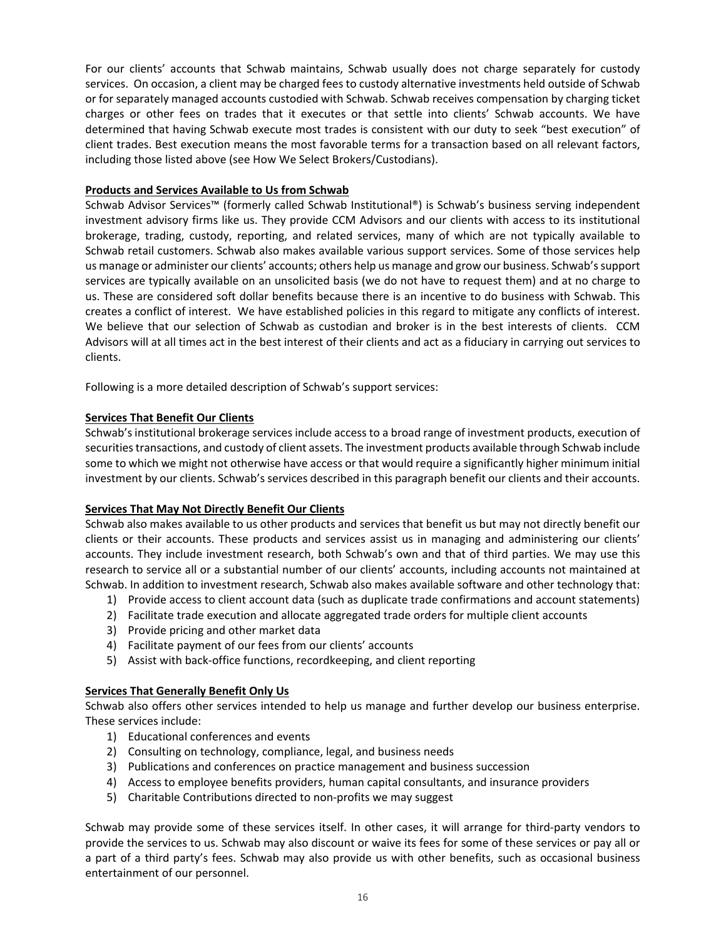For our clients' accounts that Schwab maintains, Schwab usually does not charge separately for custody services. On occasion, a client may be charged fees to custody alternative investments held outside of Schwab or for separately managed accounts custodied with Schwab. Schwab receives compensation by charging ticket charges or other fees on trades that it executes or that settle into clients' Schwab accounts. We have determined that having Schwab execute most trades is consistent with our duty to seek "best execution" of client trades. Best execution means the most favorable terms for a transaction based on all relevant factors, including those listed above (see How We Select Brokers/Custodians).

## **Products and Services Available to Us from Schwab**

Schwab Advisor Services™ (formerly called Schwab Institutional®) is Schwab's business serving independent investment advisory firms like us. They provide CCM Advisors and our clients with access to its institutional brokerage, trading, custody, reporting, and related services, many of which are not typically available to Schwab retail customers. Schwab also makes available various support services. Some of those services help us manage or administer our clients' accounts; others help us manage and grow our business. Schwab's support services are typically available on an unsolicited basis (we do not have to request them) and at no charge to us. These are considered soft dollar benefits because there is an incentive to do business with Schwab. This creates a conflict of interest. We have established policies in this regard to mitigate any conflicts of interest. We believe that our selection of Schwab as custodian and broker is in the best interests of clients. CCM Advisors will at all times act in the best interest of their clients and act as a fiduciary in carrying out services to clients.

Following is a more detailed description of Schwab's support services:

# **Services That Benefit Our Clients**

Schwab's institutional brokerage services include access to a broad range of investment products, execution of securities transactions, and custody of client assets. The investment products available through Schwab include some to which we might not otherwise have access or that would require a significantly higher minimum initial investment by our clients. Schwab's services described in this paragraph benefit our clients and their accounts.

### **Services That May Not Directly Benefit Our Clients**

Schwab also makes available to us other products and services that benefit us but may not directly benefit our clients or their accounts. These products and services assist us in managing and administering our clients' accounts. They include investment research, both Schwab's own and that of third parties. We may use this research to service all or a substantial number of our clients' accounts, including accounts not maintained at Schwab. In addition to investment research, Schwab also makes available software and other technology that:

- 1) Provide access to client account data (such as duplicate trade confirmations and account statements)
- 2) Facilitate trade execution and allocate aggregated trade orders for multiple client accounts
- 3) Provide pricing and other market data
- 4) Facilitate payment of our fees from our clients' accounts
- 5) Assist with back-office functions, recordkeeping, and client reporting

# **Services That Generally Benefit Only Us**

Schwab also offers other services intended to help us manage and further develop our business enterprise. These services include:

- 1) Educational conferences and events
- 2) Consulting on technology, compliance, legal, and business needs
- 3) Publications and conferences on practice management and business succession
- 4) Access to employee benefits providers, human capital consultants, and insurance providers
- 5) Charitable Contributions directed to non-profits we may suggest

Schwab may provide some of these services itself. In other cases, it will arrange for third-party vendors to provide the services to us. Schwab may also discount or waive its fees for some of these services or pay all or a part of a third party's fees. Schwab may also provide us with other benefits, such as occasional business entertainment of our personnel.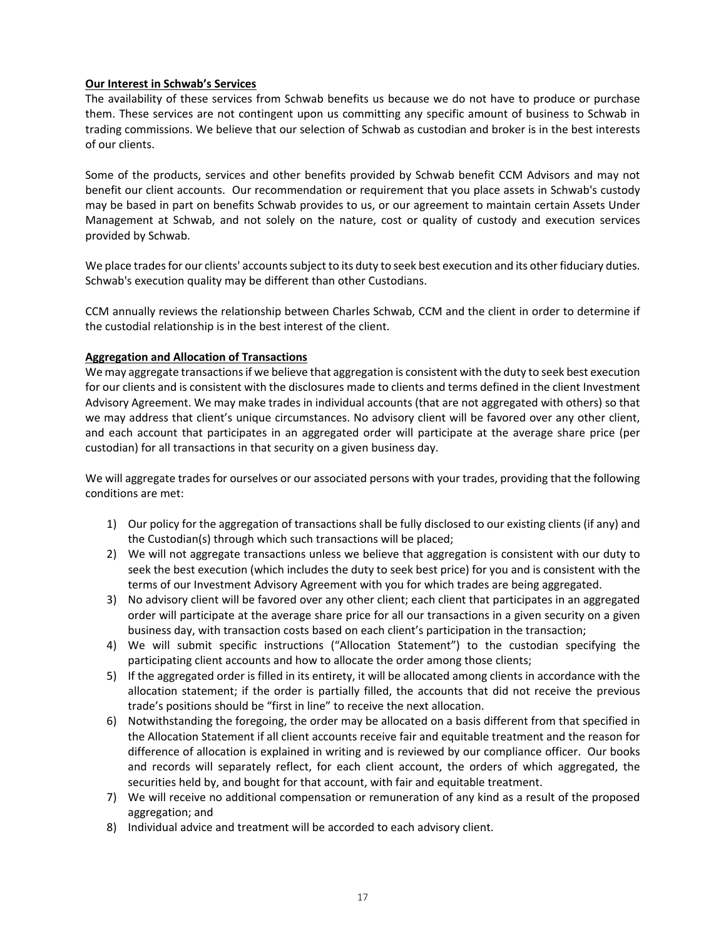# **Our Interest in Schwab's Services**

The availability of these services from Schwab benefits us because we do not have to produce or purchase them. These services are not contingent upon us committing any specific amount of business to Schwab in trading commissions. We believe that our selection of Schwab as custodian and broker is in the best interests of our clients.

Some of the products, services and other benefits provided by Schwab benefit CCM Advisors and may not benefit our client accounts. Our recommendation or requirement that you place assets in Schwab's custody may be based in part on benefits Schwab provides to us, or our agreement to maintain certain Assets Under Management at Schwab, and not solely on the nature, cost or quality of custody and execution services provided by Schwab.

We place trades for our clients' accounts subject to its duty to seek best execution and its other fiduciary duties. Schwab's execution quality may be different than other Custodians.

CCM annually reviews the relationship between Charles Schwab, CCM and the client in order to determine if the custodial relationship is in the best interest of the client.

# **Aggregation and Allocation of Transactions**

We may aggregate transactions if we believe that aggregation is consistent with the duty to seek best execution for our clients and is consistent with the disclosures made to clients and terms defined in the client Investment Advisory Agreement. We may make trades in individual accounts (that are not aggregated with others) so that we may address that client's unique circumstances. No advisory client will be favored over any other client, and each account that participates in an aggregated order will participate at the average share price (per custodian) for all transactions in that security on a given business day.

We will aggregate trades for ourselves or our associated persons with your trades, providing that the following conditions are met:

- 1) Our policy for the aggregation of transactions shall be fully disclosed to our existing clients (if any) and the Custodian(s) through which such transactions will be placed;
- 2) We will not aggregate transactions unless we believe that aggregation is consistent with our duty to seek the best execution (which includes the duty to seek best price) for you and is consistent with the terms of our Investment Advisory Agreement with you for which trades are being aggregated.
- 3) No advisory client will be favored over any other client; each client that participates in an aggregated order will participate at the average share price for all our transactions in a given security on a given business day, with transaction costs based on each client's participation in the transaction;
- 4) We will submit specific instructions ("Allocation Statement") to the custodian specifying the participating client accounts and how to allocate the order among those clients;
- 5) If the aggregated order is filled in its entirety, it will be allocated among clients in accordance with the allocation statement; if the order is partially filled, the accounts that did not receive the previous trade's positions should be "first in line" to receive the next allocation.
- 6) Notwithstanding the foregoing, the order may be allocated on a basis different from that specified in the Allocation Statement if all client accounts receive fair and equitable treatment and the reason for difference of allocation is explained in writing and is reviewed by our compliance officer. Our books and records will separately reflect, for each client account, the orders of which aggregated, the securities held by, and bought for that account, with fair and equitable treatment.
- 7) We will receive no additional compensation or remuneration of any kind as a result of the proposed aggregation; and
- 8) Individual advice and treatment will be accorded to each advisory client.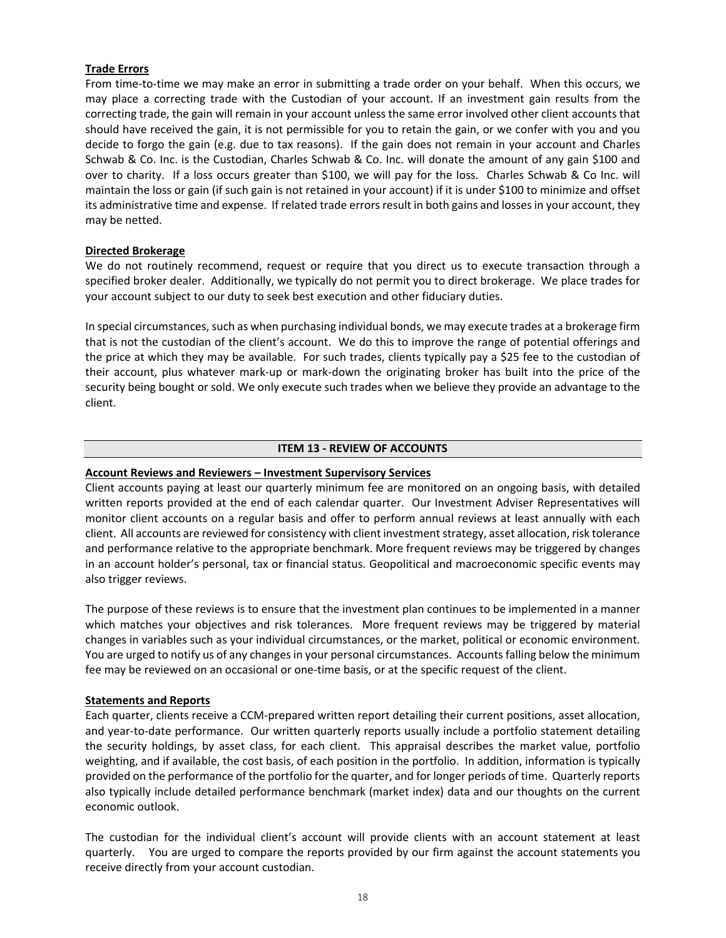# **Trade Errors**

From time-to-time we may make an error in submitting a trade order on your behalf. When this occurs, we may place a correcting trade with the Custodian of your account. If an investment gain results from the correcting trade, the gain will remain in your account unless the same error involved other client accounts that should have received the gain, it is not permissible for you to retain the gain, or we confer with you and you decide to forgo the gain (e.g. due to tax reasons). If the gain does not remain in your account and Charles Schwab & Co. Inc. is the Custodian, Charles Schwab & Co. Inc. will donate the amount of any gain \$100 and over to charity. If a loss occurs greater than \$100, we will pay for the loss. Charles Schwab & Co Inc. will maintain the loss or gain (if such gain is not retained in your account) if it is under \$100 to minimize and offset its administrative time and expense. If related trade errors result in both gains and losses in your account, they may be netted.

# **Directed Brokerage**

We do not routinely recommend, request or require that you direct us to execute transaction through a specified broker dealer. Additionally, we typically do not permit you to direct brokerage. We place trades for your account subject to our duty to seek best execution and other fiduciary duties.

In special circumstances, such as when purchasing individual bonds, we may execute trades at a brokerage firm that is not the custodian of the client's account. We do this to improve the range of potential offerings and the price at which they may be available. For such trades, clients typically pay a \$25 fee to the custodian of their account, plus whatever mark-up or mark-down the originating broker has built into the price of the security being bought or sold. We only execute such trades when we believe they provide an advantage to the client.

# **ITEM 13 - REVIEW OF ACCOUNTS**

## <span id="page-17-0"></span>**Account Reviews and Reviewers – Investment Supervisory Services**

Client accounts paying at least our quarterly minimum fee are monitored on an ongoing basis, with detailed written reports provided at the end of each calendar quarter. Our Investment Adviser Representatives will monitor client accounts on a regular basis and offer to perform annual reviews at least annually with each client. All accounts are reviewed for consistency with client investment strategy, asset allocation, risk tolerance and performance relative to the appropriate benchmark. More frequent reviews may be triggered by changes in an account holder's personal, tax or financial status. Geopolitical and macroeconomic specific events may also trigger reviews.

The purpose of these reviews is to ensure that the investment plan continues to be implemented in a manner which matches your objectives and risk tolerances. More frequent reviews may be triggered by material changes in variables such as your individual circumstances, or the market, political or economic environment. You are urged to notify us of any changes in your personal circumstances. Accounts falling below the minimum fee may be reviewed on an occasional or one-time basis, or at the specific request of the client.

### **Statements and Reports**

Each quarter, clients receive a CCM-prepared written report detailing their current positions, asset allocation, and year-to-date performance. Our written quarterly reports usually include a portfolio statement detailing the security holdings, by asset class, for each client. This appraisal describes the market value, portfolio weighting, and if available, the cost basis, of each position in the portfolio. In addition, information is typically provided on the performance of the portfolio for the quarter, and for longer periods of time. Quarterly reports also typically include detailed performance benchmark (market index) data and our thoughts on the current economic outlook.

The custodian for the individual client's account will provide clients with an account statement at least quarterly. You are urged to compare the reports provided by our firm against the account statements you receive directly from your account custodian.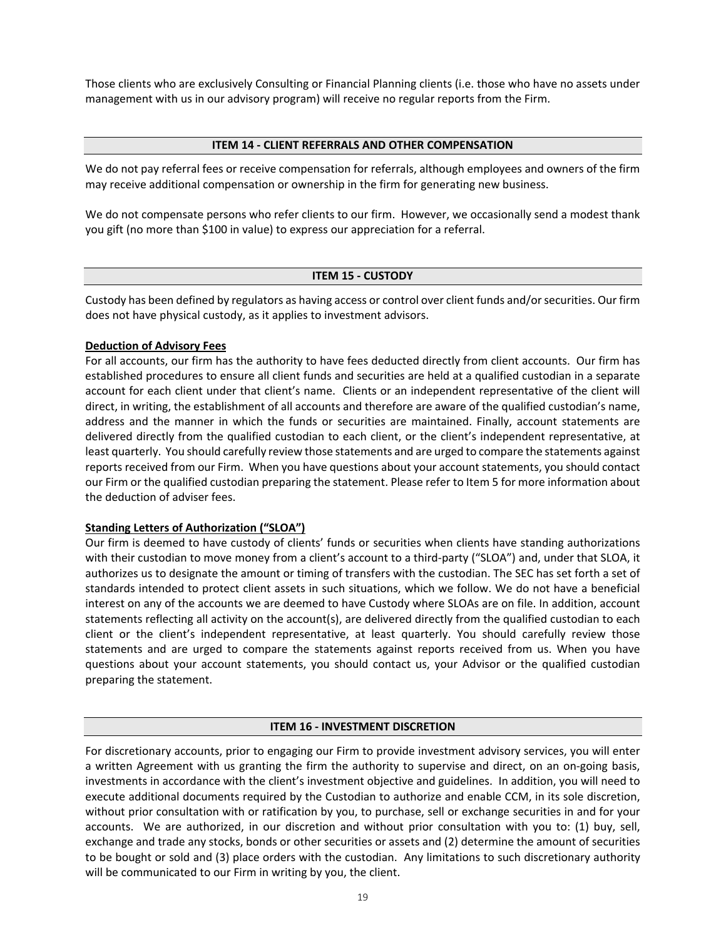Those clients who are exclusively Consulting or Financial Planning clients (i.e. those who have no assets under management with us in our advisory program) will receive no regular reports from the Firm.

## **ITEM 14 - CLIENT REFERRALS AND OTHER COMPENSATION**

<span id="page-18-0"></span>We do not pay referral fees or receive compensation for referrals, although employees and owners of the firm may receive additional compensation or ownership in the firm for generating new business.

We do not compensate persons who refer clients to our firm. However, we occasionally send a modest thank you gift (no more than \$100 in value) to express our appreciation for a referral.

# **ITEM 15 - CUSTODY**

<span id="page-18-1"></span>Custody has been defined by regulators as having access or control over client funds and/or securities. Our firm does not have physical custody, as it applies to investment advisors.

# **Deduction of Advisory Fees**

For all accounts, our firm has the authority to have fees deducted directly from client accounts. Our firm has established procedures to ensure all client funds and securities are held at a qualified custodian in a separate account for each client under that client's name. Clients or an independent representative of the client will direct, in writing, the establishment of all accounts and therefore are aware of the qualified custodian's name, address and the manner in which the funds or securities are maintained. Finally, account statements are delivered directly from the qualified custodian to each client, or the client's independent representative, at least quarterly. You should carefully review those statements and are urged to compare the statements against reports received from our Firm. When you have questions about your account statements, you should contact our Firm or the qualified custodian preparing the statement. Please refer to Item 5 for more information about the deduction of adviser fees.

# **Standing Letters of Authorization ("SLOA")**

Our firm is deemed to have custody of clients' funds or securities when clients have standing authorizations with their custodian to move money from a client's account to a third-party ("SLOA") and, under that SLOA, it authorizes us to designate the amount or timing of transfers with the custodian. The SEC has set forth a set of standards intended to protect client assets in such situations, which we follow. We do not have a beneficial interest on any of the accounts we are deemed to have Custody where SLOAs are on file. In addition, account statements reflecting all activity on the account(s), are delivered directly from the qualified custodian to each client or the client's independent representative, at least quarterly. You should carefully review those statements and are urged to compare the statements against reports received from us. When you have questions about your account statements, you should contact us, your Advisor or the qualified custodian preparing the statement.

# **ITEM 16 - INVESTMENT DISCRETION**

<span id="page-18-2"></span>For discretionary accounts, prior to engaging our Firm to provide investment advisory services, you will enter a written Agreement with us granting the firm the authority to supervise and direct, on an on-going basis, investments in accordance with the client's investment objective and guidelines. In addition, you will need to execute additional documents required by the Custodian to authorize and enable CCM, in its sole discretion, without prior consultation with or ratification by you, to purchase, sell or exchange securities in and for your accounts. We are authorized, in our discretion and without prior consultation with you to: (1) buy, sell, exchange and trade any stocks, bonds or other securities or assets and (2) determine the amount of securities to be bought or sold and (3) place orders with the custodian. Any limitations to such discretionary authority will be communicated to our Firm in writing by you, the client.